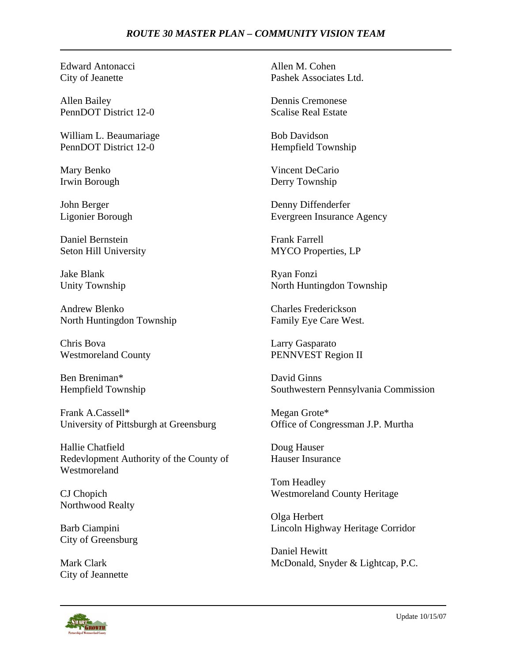## *ROUTE 30 MASTER PLAN – COMMUNITY VISION TEAM*

Edward Antonacci City of Jeanette

Allen Bailey PennDOT District 12-0

William L. Beaumariage PennDOT District 12-0

Mary Benko Irwin Borough

John Berger Ligonier Borough

Daniel Bernstein Seton Hill University

Jake Blank Unity Township

Andrew Blenko North Huntingdon Township

Chris Bova Westmoreland County

Ben Breniman\* Hempfield Township

Frank A.Cassell\* University of Pittsburgh at Greensburg

Hallie Chatfield Redevlopment Authority of the County of Westmoreland

CJ Chopich Northwood Realty

Barb Ciampini City of Greensburg

Mark Clark City of Jeannette Allen M. Cohen Pashek Associates Ltd.

Dennis Cremonese Scalise Real Estate

Bob Davidson Hempfield Township

Vincent DeCario Derry Township

Denny Diffenderfer Evergreen Insurance Agency

Frank Farrell MYCO Properties, LP

Ryan Fonzi North Huntingdon Township

Charles Frederickson Family Eye Care West.

Larry Gasparato PENNVEST Region II

David Ginns Southwestern Pennsylvania Commission

Megan Grote\* Office of Congressman J.P. Murtha

Doug Hauser Hauser Insurance

Tom Headley Westmoreland County Heritage

Olga Herbert Lincoln Highway Heritage Corridor

Daniel Hewitt McDonald, Snyder & Lightcap, P.C.

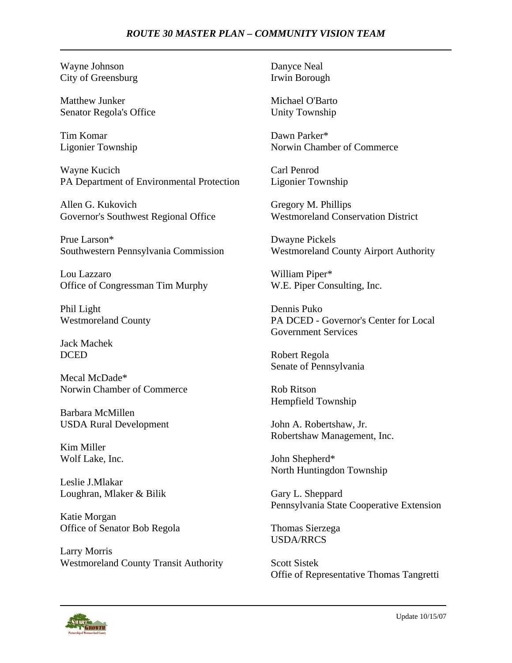## *ROUTE 30 MASTER PLAN – COMMUNITY VISION TEAM*

Wayne Johnson City of Greensburg

Matthew Junker Senator Regola's Office

Tim Komar Ligonier Township

Wayne Kucich PA Department of Environmental Protection

Allen G. Kukovich Governor's Southwest Regional Office

Prue Larson\* Southwestern Pennsylvania Commission

Lou Lazzaro Office of Congressman Tim Murphy

Phil Light Westmoreland County

Jack Machek DCED

Mecal McDade\* Norwin Chamber of Commerce

Barbara McMillen USDA Rural Development

Kim Miller Wolf Lake, Inc.

Leslie J.Mlakar Loughran, Mlaker & Bilik

Katie Morgan Office of Senator Bob Regola

Larry Morris Westmoreland County Transit Authority Danyce Neal Irwin Borough

Michael O'Barto Unity Township

Dawn Parker\* Norwin Chamber of Commerce

Carl Penrod Ligonier Township

Gregory M. Phillips Westmoreland Conservation District

Dwayne Pickels Westmoreland County Airport Authority

William Piper\* W.E. Piper Consulting, Inc.

Dennis Puko PA DCED - Governor's Center for Local Government Services

Robert Regola Senate of Pennsylvania

Rob Ritson Hempfield Township

John A. Robertshaw, Jr. Robertshaw Management, Inc.

John Shepherd\* North Huntingdon Township

Gary L. Sheppard Pennsylvania State Cooperative Extension

Thomas Sierzega USDA/RRCS

Scott Sistek Offie of Representative Thomas Tangretti